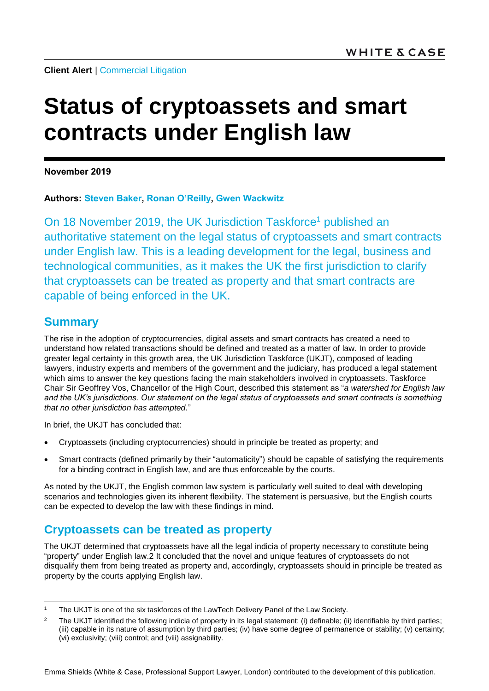**Client Alert | [Commercial Litigation](https://www.whitecase.com/law/practices/commercial-litigation)** 

# **Status of cryptoassets and smart contracts under English law**

**November 2019**

**Authors: [Steven Baker,](https://www.whitecase.com/people/steven-baker) [Ronan O](https://www.whitecase.com/people/ronan-oreilly)'Reilly, Gwen [Wackwitz](https://www.whitecase.com/people/gwen-wackwitz)**

On 18 November 2019, the UK Jurisdiction Taskforce<sup>1</sup> published an authoritative statement on the legal status of cryptoassets and smart contracts under English law. This is a leading development for the legal, business and technological communities, as it makes the UK the first jurisdiction to clarify that cryptoassets can be treated as property and that smart contracts are capable of being enforced in the UK.

### **Summary**

l

The rise in the adoption of cryptocurrencies, digital assets and smart contracts has created a need to understand how related transactions should be defined and treated as a matter of law. In order to provide greater legal certainty in this growth area, the UK Jurisdiction Taskforce (UKJT), composed of leading lawyers, industry experts and members of the government and the judiciary, has produced a legal statement which aims to answer the key questions facing the main stakeholders involved in cryptoassets. Taskforce Chair Sir Geoffrey Vos, Chancellor of the High Court, described this statement as "*a watershed for English law and the UK's jurisdictions. Our statement on the legal status of cryptoassets and smart contracts is something that no other jurisdiction has attempted.*"

In brief, the UKJT has concluded that:

- Cryptoassets (including cryptocurrencies) should in principle be treated as property; and
- Smart contracts (defined primarily by their "automaticity") should be capable of satisfying the requirements for a binding contract in English law, and are thus enforceable by the courts.

As noted by the UKJT, the English common law system is particularly well suited to deal with developing scenarios and technologies given its inherent flexibility. The statement is persuasive, but the English courts can be expected to develop the law with these findings in mind.

## **Cryptoassets can be treated as property**

The UKJT determined that cryptoassets have all the legal indicia of property necessary to constitute being "property" under English law.2 It concluded that the novel and unique features of cryptoassets do not disqualify them from being treated as property and, accordingly, cryptoassets should in principle be treated as property by the courts applying English law.

The UKJT is one of the six taskforces of the LawTech Delivery Panel of the Law Society.

<sup>&</sup>lt;sup>2</sup> The UKJT identified the following indicia of property in its legal statement: (i) definable; (ii) identifiable by third parties; (iii) capable in its nature of assumption by third parties; (iv) have some degree of permanence or stability; (v) certainty; (vi) exclusivity; (viii) control; and (viii) assignability.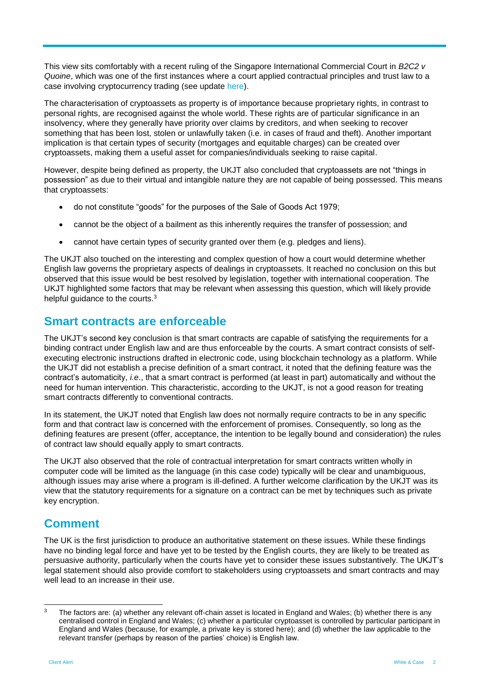This view sits comfortably with a recent ruling of the Singapore International Commercial Court in *B2C2 v Quoine*, which was one of the first instances where a court applied contractual principles and trust law to a case involving cryptocurrency trading (see update [here\)](https://www.whitecase.com/publications/alert/cryptocurrencies-property-trust-and-mistake).

The characterisation of cryptoassets as property is of importance because proprietary rights, in contrast to personal rights, are recognised against the whole world. These rights are of particular significance in an insolvency, where they generally have priority over claims by creditors, and when seeking to recover something that has been lost, stolen or unlawfully taken (i.e. in cases of fraud and theft). Another important implication is that certain types of security (mortgages and equitable charges) can be created over cryptoassets, making them a useful asset for companies/individuals seeking to raise capital.

However, despite being defined as property, the UKJT also concluded that cryptoassets are not "things in possession" as due to their virtual and intangible nature they are not capable of being possessed. This means that cryptoassets:

- do not constitute "goods" for the purposes of the Sale of Goods Act 1979;
- cannot be the object of a bailment as this inherently requires the transfer of possession; and
- cannot have certain types of security granted over them (e.g. pledges and liens).

The UKJT also touched on the interesting and complex question of how a court would determine whether English law governs the proprietary aspects of dealings in cryptoassets. It reached no conclusion on this but observed that this issue would be best resolved by legislation, together with international cooperation. The UKJT highlighted some factors that may be relevant when assessing this question, which will likely provide helpful guidance to the courts.<sup>3</sup>

#### **Smart contracts are enforceable**

The UKJT's second key conclusion is that smart contracts are capable of satisfying the requirements for a binding contract under English law and are thus enforceable by the courts. A smart contract consists of selfexecuting electronic instructions drafted in electronic code, using blockchain technology as a platform. While the UKJT did not establish a precise definition of a smart contract, it noted that the defining feature was the contract's automaticity, *i.e*., that a smart contract is performed (at least in part) automatically and without the need for human intervention. This characteristic, according to the UKJT, is not a good reason for treating smart contracts differently to conventional contracts.

In its statement, the UKJT noted that English law does not normally require contracts to be in any specific form and that contract law is concerned with the enforcement of promises. Consequently, so long as the defining features are present (offer, acceptance, the intention to be legally bound and consideration) the rules of contract law should equally apply to smart contracts.

The UKJT also observed that the role of contractual interpretation for smart contracts written wholly in computer code will be limited as the language (in this case code) typically will be clear and unambiguous, although issues may arise where a program is ill-defined. A further welcome clarification by the UKJT was its view that the statutory requirements for a signature on a contract can be met by techniques such as private key encryption.

#### **Comment**

The UK is the first jurisdiction to produce an authoritative statement on these issues. While these findings have no binding legal force and have yet to be tested by the English courts, they are likely to be treated as persuasive authority, particularly when the courts have yet to consider these issues substantively. The UKJT's legal statement should also provide comfort to stakeholders using cryptoassets and smart contracts and may well lead to an increase in their use.

l

 $3$  The factors are: (a) whether any relevant off-chain asset is located in England and Wales; (b) whether there is any centralised control in England and Wales; (c) whether a particular cryptoasset is controlled by particular participant in England and Wales (because, for example, a private key is stored here); and (d) whether the law applicable to the relevant transfer (perhaps by reason of the parties' choice) is English law.